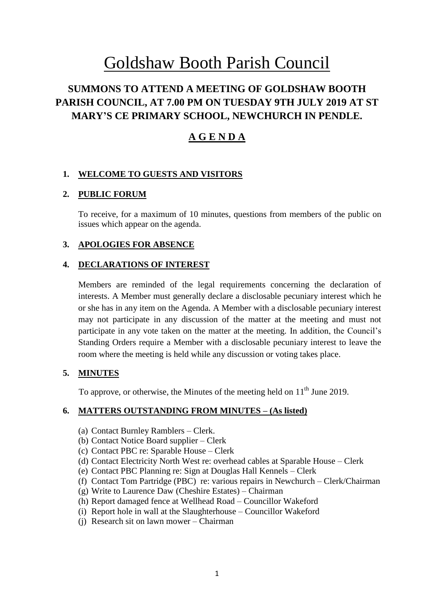# Goldshaw Booth Parish Council

# **SUMMONS TO ATTEND A MEETING OF GOLDSHAW BOOTH PARISH COUNCIL, AT 7.00 PM ON TUESDAY 9TH JULY 2019 AT ST MARY'S CE PRIMARY SCHOOL, NEWCHURCH IN PENDLE.**

# **A G E N D A**

# **1. WELCOME TO GUESTS AND VISITORS**

# **2. PUBLIC FORUM**

To receive, for a maximum of 10 minutes, questions from members of the public on issues which appear on the agenda.

# **3. APOLOGIES FOR ABSENCE**

#### **4. DECLARATIONS OF INTEREST**

Members are reminded of the legal requirements concerning the declaration of interests. A Member must generally declare a disclosable pecuniary interest which he or she has in any item on the Agenda. A Member with a disclosable pecuniary interest may not participate in any discussion of the matter at the meeting and must not participate in any vote taken on the matter at the meeting. In addition, the Council's Standing Orders require a Member with a disclosable pecuniary interest to leave the room where the meeting is held while any discussion or voting takes place.

# **5. MINUTES**

To approve, or otherwise, the Minutes of the meeting held on  $11<sup>th</sup>$  June 2019.

#### **6. MATTERS OUTSTANDING FROM MINUTES – (As listed)**

- (a) Contact Burnley Ramblers Clerk.
- (b) Contact Notice Board supplier Clerk
- (c) Contact PBC re: Sparable House Clerk
- (d) Contact Electricity North West re: overhead cables at Sparable House Clerk
- (e) Contact PBC Planning re: Sign at Douglas Hall Kennels Clerk
- (f) Contact Tom Partridge (PBC) re: various repairs in Newchurch Clerk/Chairman
- (g) Write to Laurence Daw (Cheshire Estates) Chairman
- (h) Report damaged fence at Wellhead Road Councillor Wakeford
- (i) Report hole in wall at the Slaughterhouse Councillor Wakeford
- (j) Research sit on lawn mower Chairman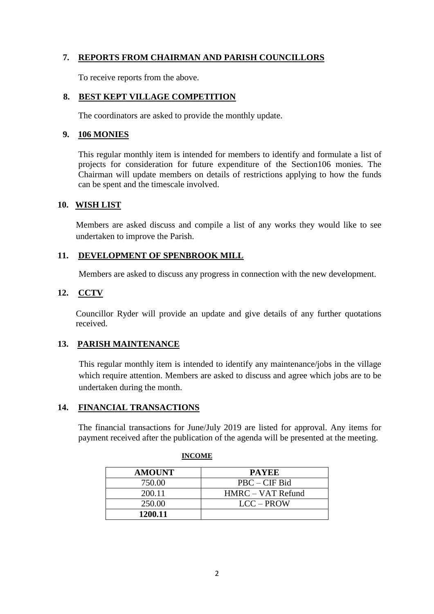# **7. REPORTS FROM CHAIRMAN AND PARISH COUNCILLORS**

To receive reports from the above.

#### **8. BEST KEPT VILLAGE COMPETITION**

The coordinators are asked to provide the monthly update.

#### **9. 106 MONIES**

This regular monthly item is intended for members to identify and formulate a list of projects for consideration for future expenditure of the Section106 monies. The Chairman will update members on details of restrictions applying to how the funds can be spent and the timescale involved.

#### **10. WISH LIST**

Members are asked discuss and compile a list of any works they would like to see undertaken to improve the Parish.

#### **11. DEVELOPMENT OF SPENBROOK MILL**

Members are asked to discuss any progress in connection with the new development.

#### **12. CCTV**

Councillor Ryder will provide an update and give details of any further quotations received.

# **13. PARISH MAINTENANCE**

This regular monthly item is intended to identify any maintenance/jobs in the village which require attention. Members are asked to discuss and agree which jobs are to be undertaken during the month.

#### **14. FINANCIAL TRANSACTIONS**

The financial transactions for June/July 2019 are listed for approval. Any items for payment received after the publication of the agenda will be presented at the meeting.

| <b>AMOUNT</b> | <b>PAYEE</b>      |
|---------------|-------------------|
| 750.00        | $PBC - CIF$ Bid   |
| 200.11        | HMRC – VAT Refund |
| 250.00        | LCC - PROW        |
| 1200.11       |                   |

#### **INCOME**